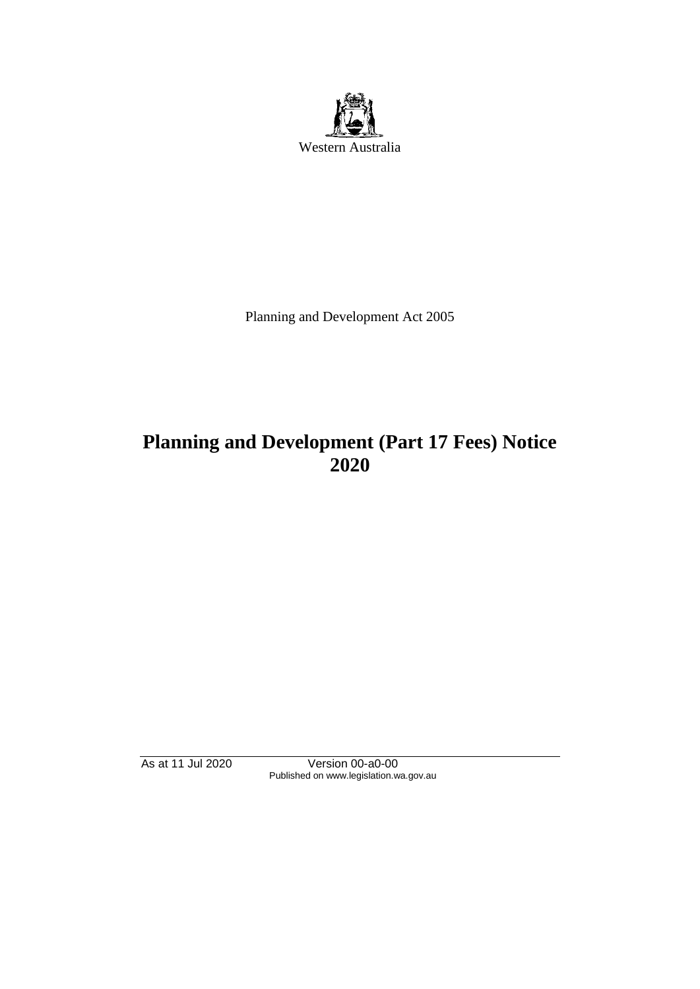

Planning and Development Act 2005

# **Planning and Development (Part 17 Fees) Notice 2020**

As at 11 Jul 2020 Version 00-a0-00 Published on www.legislation.wa.gov.au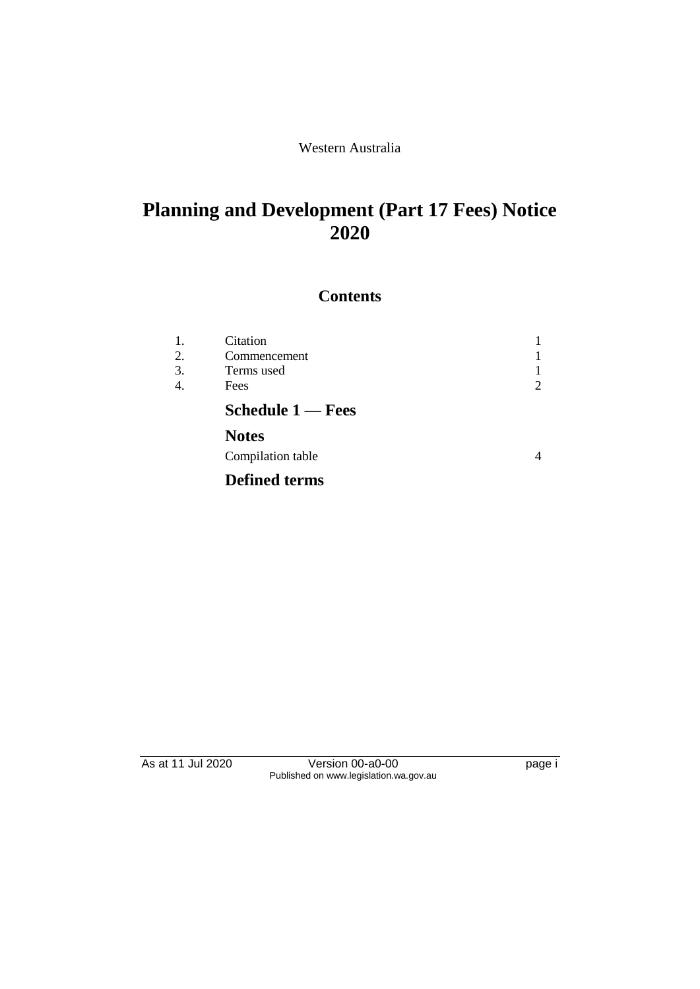#### Western Australia

## **Planning and Development (Part 17 Fees) Notice 2020**

### **Contents**

| 1.<br>2.<br>3.<br>4. | Citation<br>Commencement<br>Terms used<br>Fees |  |
|----------------------|------------------------------------------------|--|
|                      | <b>Schedule 1 — Fees</b>                       |  |
|                      | <b>Notes</b>                                   |  |
|                      | Compilation table                              |  |
|                      | <b>Defined terms</b>                           |  |

As at 11 Jul 2020 Version 00-a0-00 version of the page i Published on www.legislation.wa.gov.au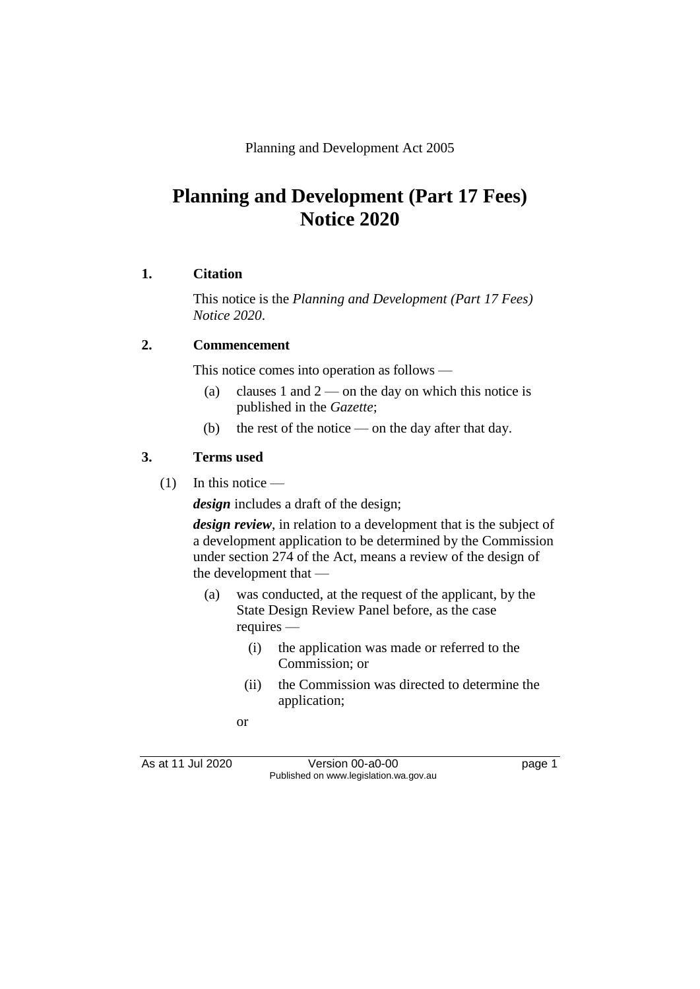Planning and Development Act 2005

## **Planning and Development (Part 17 Fees) Notice 2020**

#### **1. Citation**

This notice is the *Planning and Development (Part 17 Fees) Notice 2020*.

#### **2. Commencement**

This notice comes into operation as follows —

- (a) clauses 1 and  $2$  on the day on which this notice is published in the *Gazette*;
- (b) the rest of the notice on the day after that day.

#### **3. Terms used**

(1) In this notice —

*design* includes a draft of the design;

*design review*, in relation to a development that is the subject of a development application to be determined by the Commission under section 274 of the Act, means a review of the design of the development that —

- (a) was conducted, at the request of the applicant, by the State Design Review Panel before, as the case requires —
	- (i) the application was made or referred to the Commission; or
	- (ii) the Commission was directed to determine the application;
	- or

As at 11 Jul 2020 Version 00-a0-00 Published on www.legislation.wa.gov.au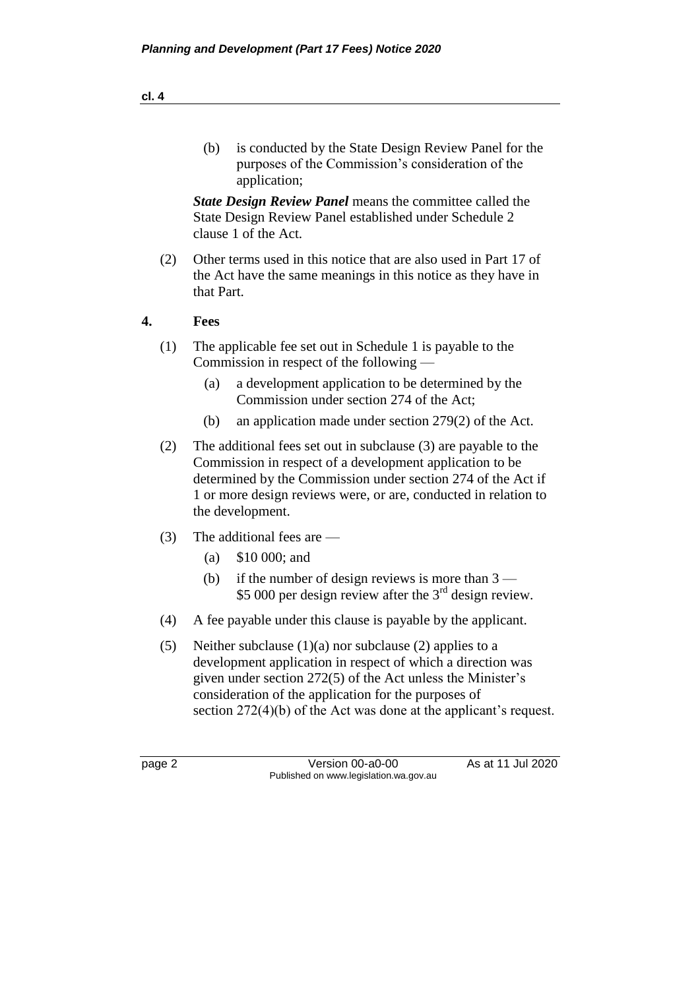(b) is conducted by the State Design Review Panel for the purposes of the Commission's consideration of the application;

*State Design Review Panel* means the committee called the State Design Review Panel established under Schedule 2 clause 1 of the Act.

(2) Other terms used in this notice that are also used in Part 17 of the Act have the same meanings in this notice as they have in that Part.

#### **4. Fees**

- (1) The applicable fee set out in Schedule 1 is payable to the Commission in respect of the following —
	- (a) a development application to be determined by the Commission under section 274 of the Act;
	- (b) an application made under section 279(2) of the Act.
- (2) The additional fees set out in subclause (3) are payable to the Commission in respect of a development application to be determined by the Commission under section 274 of the Act if 1 or more design reviews were, or are, conducted in relation to the development.
- (3) The additional fees are
	- (a) \$10 000; and
	- (b) if the number of design reviews is more than  $3 -$ \$5 000 per design review after the 3<sup>rd</sup> design review.
- (4) A fee payable under this clause is payable by the applicant.
- (5) Neither subclause (1)(a) nor subclause (2) applies to a development application in respect of which a direction was given under section 272(5) of the Act unless the Minister's consideration of the application for the purposes of section 272(4)(b) of the Act was done at the applicant's request.

page 2 Version 00-a0-00 As at 11 Jul 2020 Published on www.legislation.wa.gov.au

**cl. 4**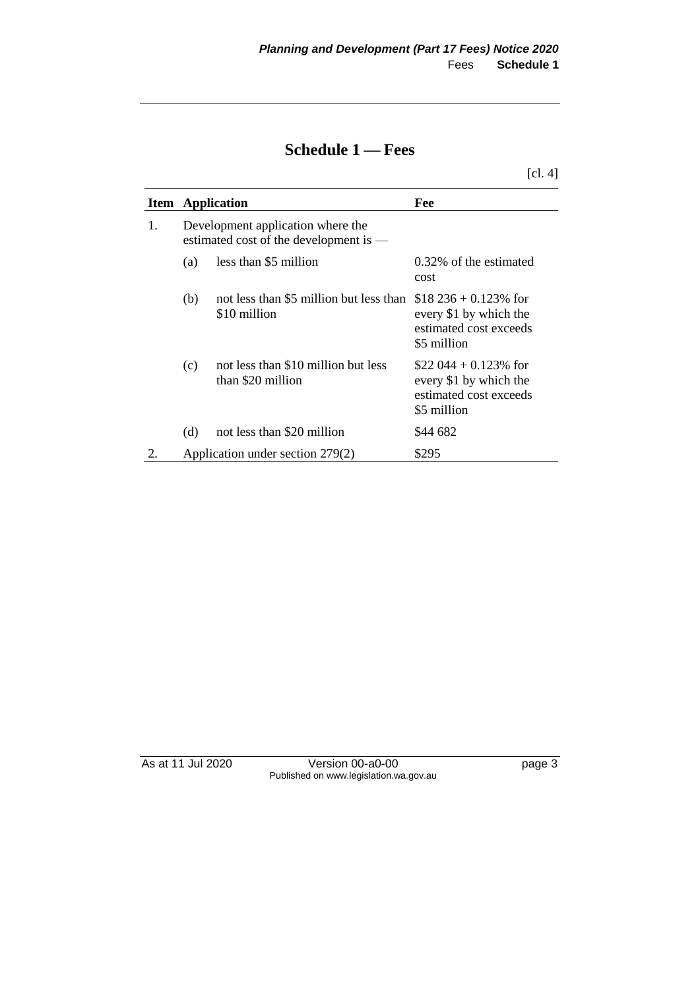### **Schedule 1 — Fees**

[cl. 4]

|    |     | <b>Item</b> Application                                                     | Fee                                                                                         |
|----|-----|-----------------------------------------------------------------------------|---------------------------------------------------------------------------------------------|
| 1. |     | Development application where the<br>estimated cost of the development is — |                                                                                             |
|    | (a) | less than \$5 million                                                       | 0.32% of the estimated<br>cost                                                              |
|    | (b) | not less than \$5 million but less than<br>\$10 million                     | $$18\,236 + 0.123\%$ for<br>every \$1 by which the<br>estimated cost exceeds<br>\$5 million |
|    | (c) | not less than \$10 million but less<br>than \$20 million                    | \$22 044 + 0.123\% for<br>every \$1 by which the<br>estimated cost exceeds<br>\$5 million   |
|    | (d) | not less than \$20 million                                                  | \$44 682                                                                                    |
|    |     | Application under section 279(2)                                            | \$295                                                                                       |

As at 11 Jul 2020 Version 00-a0-00 page 3 Published on www.legislation.wa.gov.au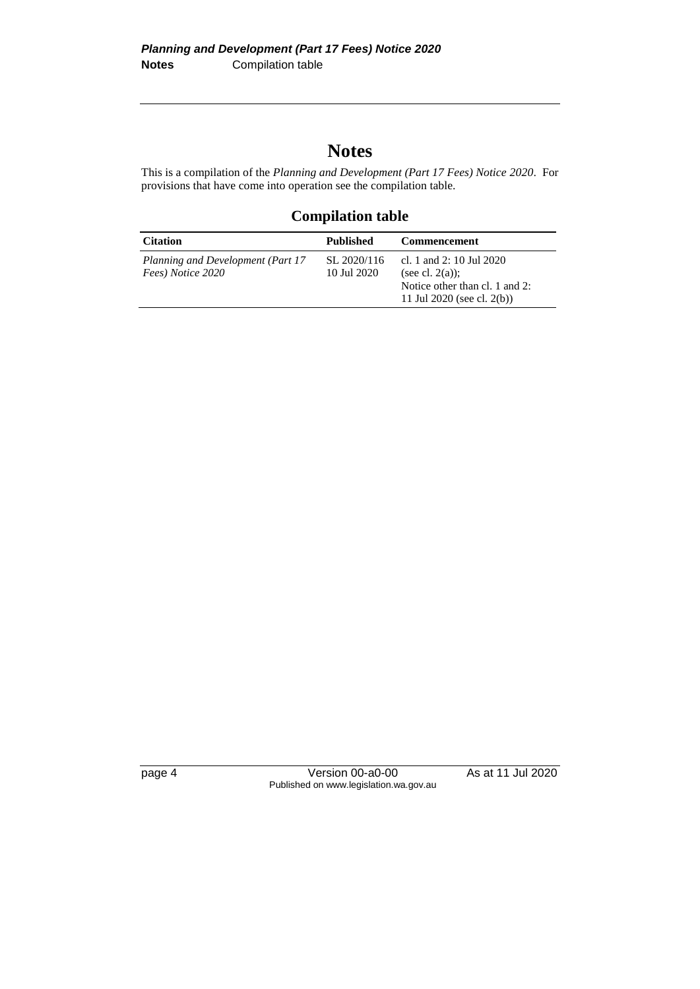## **Notes**

This is a compilation of the *Planning and Development (Part 17 Fees) Notice 2020*. For provisions that have come into operation see the compilation table.

#### **Compilation table**

| <b>Citation</b>                                        | Published                  | <b>Commencement</b>                                                                                            |
|--------------------------------------------------------|----------------------------|----------------------------------------------------------------------------------------------------------------|
| Planning and Development (Part 17<br>Fees) Notice 2020 | SL 2020/116<br>10 Jul 2020 | cl. 1 and 2: 10 Jul 2020<br>(see cl. $2(a)$ );<br>Notice other than cl. 1 and 2:<br>11 Jul 2020 (see cl. 2(b)) |

page 4 Version 00-a0-00 As at 11 Jul 2020 Published on www.legislation.wa.gov.au